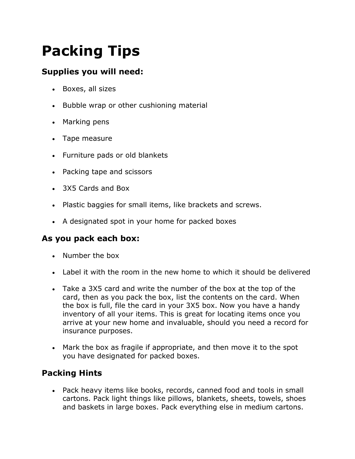## **Packing Tips**

## **Supplies you will need:**

- Boxes, all sizes
- Bubble wrap or other cushioning material
- Marking pens
- Tape measure
- Furniture pads or old blankets
- Packing tape and scissors
- 3X5 Cards and Box
- Plastic baggies for small items, like brackets and screws.
- A designated spot in your home for packed boxes

## **As you pack each box:**

- Number the box
- Label it with the room in the new home to which it should be delivered
- Take a 3X5 card and write the number of the box at the top of the card, then as you pack the box, list the contents on the card. When the box is full, file the card in your 3X5 box. Now you have a handy inventory of all your items. This is great for locating items once you arrive at your new home and invaluable, should you need a record for insurance purposes.
- Mark the box as fragile if appropriate, and then move it to the spot you have designated for packed boxes.

## **Packing Hints**

 Pack heavy items like books, records, canned food and tools in small cartons. Pack light things like pillows, blankets, sheets, towels, shoes and baskets in large boxes. Pack everything else in medium cartons.